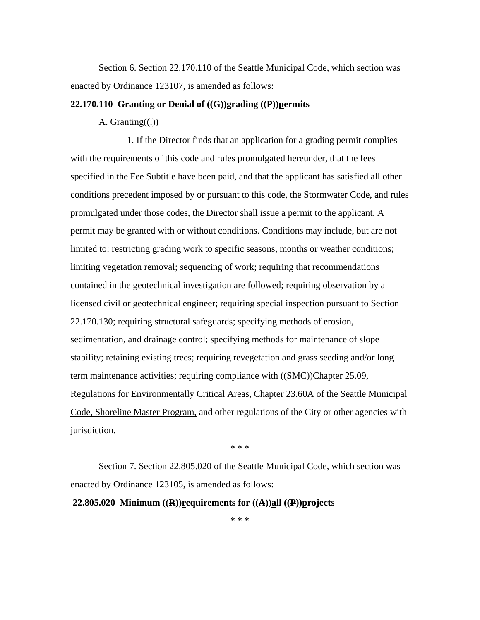Section 6. Section 22.170.110 of the Seattle Municipal Code, which section was enacted by Ordinance 123107, is amended as follows:

## **22.170.110 Granting or Denial of ((G))grading ((P))permits**

## A. Granting( $(.)$ )

1. If the Director finds that an application for a grading permit complies with the requirements of this code and rules promulgated hereunder, that the fees specified in the Fee Subtitle have been paid, and that the applicant has satisfied all other conditions precedent imposed by or pursuant to this code, the Stormwater Code, and rules promulgated under those codes, the Director shall issue a permit to the applicant. A permit may be granted with or without conditions. Conditions may include, but are not limited to: restricting grading work to specific seasons, months or weather conditions; limiting vegetation removal; sequencing of work; requiring that recommendations contained in the geotechnical investigation are followed; requiring observation by a licensed civil or geotechnical engineer; requiring special inspection pursuant to Section 22.170.130; requiring structural safeguards; specifying methods of erosion, sedimentation, and drainage control; specifying methods for maintenance of slope stability; retaining existing trees; requiring revegetation and grass seeding and/or long term maintenance activities; requiring compliance with ((SMC))Chapter 25.09, Regulations for Environmentally Critical Areas, Chapter 23.60A of the Seattle Municipal Code, Shoreline Master Program, and other regulations of the City or other agencies with jurisdiction.

\* \* \*

Section 7. Section 22.805.020 of the Seattle Municipal Code, which section was enacted by Ordinance 123105, is amended as follows:

 **22.805.020 Minimum ((R))requirements for ((A))all ((P))projects**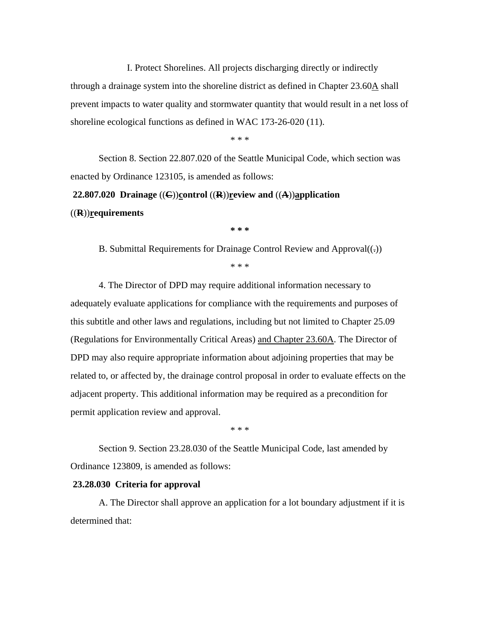I. Protect Shorelines. All projects discharging directly or indirectly through a drainage system into the shoreline district as defined in Chapter  $23.60 \underline{A}$  shall prevent impacts to water quality and stormwater quantity that would result in a net loss of shoreline ecological functions as defined in WAC 173-26-020 (11).

\* \* \*

Section 8. Section 22.807.020 of the Seattle Municipal Code, which section was enacted by Ordinance 123105, is amended as follows:

 **22.807.020 Drainage** ((**C**))**control** ((**R**))**review and** ((**A**))**application**  ((**R**))**requirements** 

**\* \* \*** 

B. Submittal Requirements for Drainage Control Review and Approval $((.)$ \* \* \*

4. The Director of DPD may require additional information necessary to adequately evaluate applications for compliance with the requirements and purposes of this subtitle and other laws and regulations, including but not limited to Chapter 25.09 (Regulations for Environmentally Critical Areas) and Chapter 23.60A. The Director of DPD may also require appropriate information about adjoining properties that may be related to, or affected by, the drainage control proposal in order to evaluate effects on the adjacent property. This additional information may be required as a precondition for permit application review and approval.

\* \* \*

Section 9. Section 23.28.030 of the Seattle Municipal Code, last amended by Ordinance 123809, is amended as follows:

#### **23.28.030 Criteria for approval**

A. The Director shall approve an application for a lot boundary adjustment if it is determined that: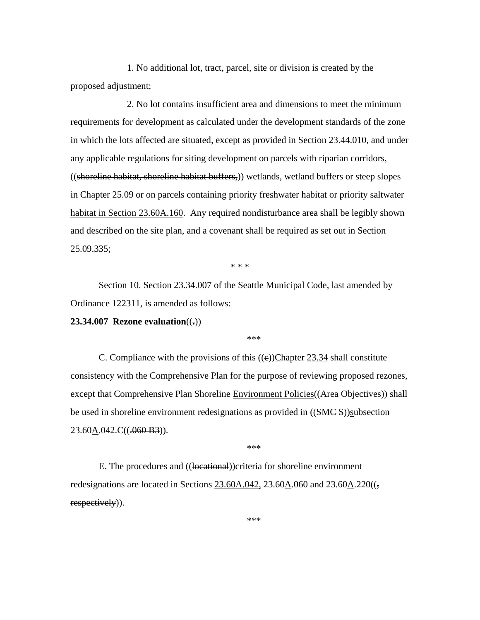1. No additional lot, tract, parcel, site or division is created by the proposed adjustment;

2. No lot contains insufficient area and dimensions to meet the minimum requirements for development as calculated under the development standards of the zone in which the lots affected are situated, except as provided in Section 23.44.010, and under any applicable regulations for siting development on parcels with riparian corridors, ((shoreline habitat, shoreline habitat buffers,)) wetlands, wetland buffers or steep slopes in Chapter 25.09 or on parcels containing priority freshwater habitat or priority saltwater habitat in Section 23.60A.160. Any required nondisturbance area shall be legibly shown and described on the site plan, and a covenant shall be required as set out in Section 25.09.335;

\* \* \*

Section 10. Section 23.34.007 of the Seattle Municipal Code, last amended by Ordinance 122311, is amended as follows:

**23.34.007 Rezone evaluation**((**.**))

\*\*\*

C. Compliance with the provisions of this  $((e))$ Chapter 23.34 shall constitute consistency with the Comprehensive Plan for the purpose of reviewing proposed rezones, except that Comprehensive Plan Shoreline Environment Policies ((Area Objectives)) shall be used in shoreline environment redesignations as provided in ((SMCS))subsection  $23.60 \underline{\text{A}}.042 \text{C}((.060 \text{ B}3))$ .

\*\*\*

E. The procedures and ((locational))criteria for shoreline environment redesignations are located in Sections  $23.60A.042$ ,  $23.60A.060$  and  $23.60A.220$ ( $($ , respectively)).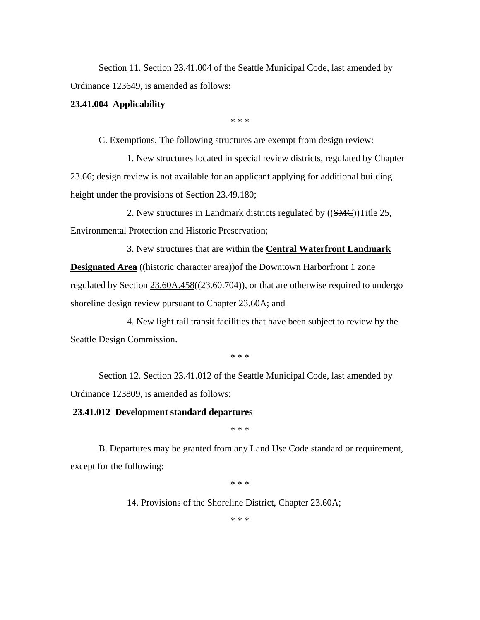Section 11. Section 23.41.004 of the Seattle Municipal Code, last amended by Ordinance 123649, is amended as follows:

## **23.41.004 Applicability**

\* \* \*

C. Exemptions. The following structures are exempt from design review:

1. New structures located in special review districts, regulated by Chapter 23.66; design review is not available for an applicant applying for additional building height under the provisions of Section 23.49.180;

2. New structures in Landmark districts regulated by ((SMC))Title 25, Environmental Protection and Historic Preservation;

3. New structures that are within the **Central Waterfront Landmark Designated Area** ((historic character area)) of the Downtown Harborfront 1 zone regulated by Section  $23.60A.458((23.60.704))$ , or that are otherwise required to undergo shoreline design review pursuant to Chapter 23.60A; and

4. New light rail transit facilities that have been subject to review by the Seattle Design Commission.

\* \* \*

Section 12. Section 23.41.012 of the Seattle Municipal Code, last amended by Ordinance 123809, is amended as follows:

## **23.41.012 Development standard departures**

\* \* \*

B. Departures may be granted from any Land Use Code standard or requirement, except for the following:

\* \* \*

14. Provisions of the Shoreline District, Chapter 23.60A;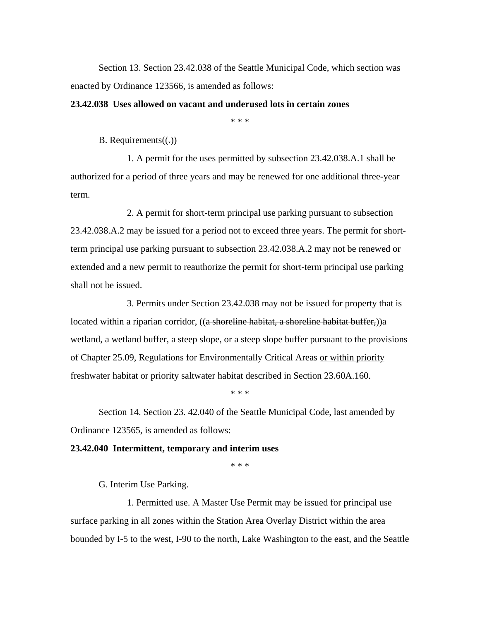Section 13. Section 23.42.038 of the Seattle Municipal Code, which section was enacted by Ordinance 123566, is amended as follows:

## **23.42.038 Uses allowed on vacant and underused lots in certain zones**

\* \* \*

B. Requirements $((.)$ 

1. A permit for the uses permitted by subsection 23.42.038.A.1 shall be authorized for a period of three years and may be renewed for one additional three-year term.

2. A permit for short-term principal use parking pursuant to subsection 23.42.038.A.2 may be issued for a period not to exceed three years. The permit for shortterm principal use parking pursuant to subsection 23.42.038.A.2 may not be renewed or extended and a new permit to reauthorize the permit for short-term principal use parking shall not be issued.

3. Permits under Section 23.42.038 may not be issued for property that is located within a riparian corridor, ((a shoreline habitat, a shoreline habitat buffer,))a wetland, a wetland buffer, a steep slope, or a steep slope buffer pursuant to the provisions of Chapter 25.09, Regulations for Environmentally Critical Areas or within priority freshwater habitat or priority saltwater habitat described in Section 23.60A.160.

\* \* \*

Section 14. Section 23. 42.040 of the Seattle Municipal Code, last amended by Ordinance 123565, is amended as follows:

#### **23.42.040 Intermittent, temporary and interim uses**

\* \* \*

G. Interim Use Parking.

1. Permitted use. A Master Use Permit may be issued for principal use surface parking in all zones within the Station Area Overlay District within the area bounded by I-5 to the west, I-90 to the north, Lake Washington to the east, and the Seattle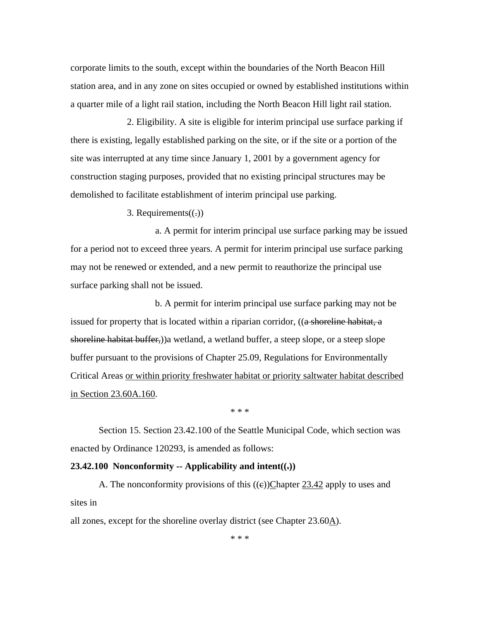corporate limits to the south, except within the boundaries of the North Beacon Hill station area, and in any zone on sites occupied or owned by established institutions within a quarter mile of a light rail station, including the North Beacon Hill light rail station.

2. Eligibility. A site is eligible for interim principal use surface parking if there is existing, legally established parking on the site, or if the site or a portion of the site was interrupted at any time since January 1, 2001 by a government agency for construction staging purposes, provided that no existing principal structures may be demolished to facilitate establishment of interim principal use parking.

3. Requirements $((.)$ 

a. A permit for interim principal use surface parking may be issued for a period not to exceed three years. A permit for interim principal use surface parking may not be renewed or extended, and a new permit to reauthorize the principal use surface parking shall not be issued.

b. A permit for interim principal use surface parking may not be issued for property that is located within a riparian corridor, ((a shoreline habitat, a shoreline habitat buffer,))a wetland, a wetland buffer, a steep slope, or a steep slope buffer pursuant to the provisions of Chapter 25.09, Regulations for Environmentally Critical Areas or within priority freshwater habitat or priority saltwater habitat described in Section 23.60A.160.

\* \* \*

Section 15. Section 23.42.100 of the Seattle Municipal Code, which section was enacted by Ordinance 120293, is amended as follows:

## **23.42.100 Nonconformity -- Applicability and intent((** $\overline{z}$ **))**

A. The nonconformity provisions of this  $((e))$ Chapter 23.42 apply to uses and sites in

all zones, except for the shoreline overlay district (see Chapter 23.60A).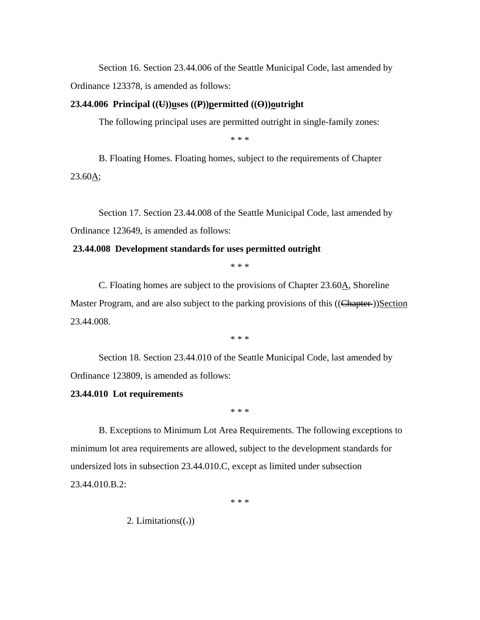Section 16. Section 23.44.006 of the Seattle Municipal Code, last amended by Ordinance 123378, is amended as follows:

## **23.44.006 Principal ((U))uses ((P))permitted ((O))outright**

The following principal uses are permitted outright in single-family zones:

\* \* \*

B. Floating Homes. Floating homes, subject to the requirements of Chapter  $23.60A;$ 

Section 17. Section 23.44.008 of the Seattle Municipal Code, last amended by Ordinance 123649, is amended as follows:

## **23.44.008 Development standards for uses permitted outright**

\* \* \*

C. Floating homes are subject to the provisions of Chapter 23.60A, Shoreline Master Program, and are also subject to the parking provisions of this ((Chapter-))Section 23.44.008.

\* \* \*

Section 18. Section 23.44.010 of the Seattle Municipal Code, last amended by Ordinance 123809, is amended as follows:

## **23.44.010 Lot requirements**

\* \* \*

B. Exceptions to Minimum Lot Area Requirements. The following exceptions to minimum lot area requirements are allowed, subject to the development standards for undersized lots in subsection 23.44.010.C, except as limited under subsection 23.44.010.B.2:

\* \* \*

2. Limitations $((.)$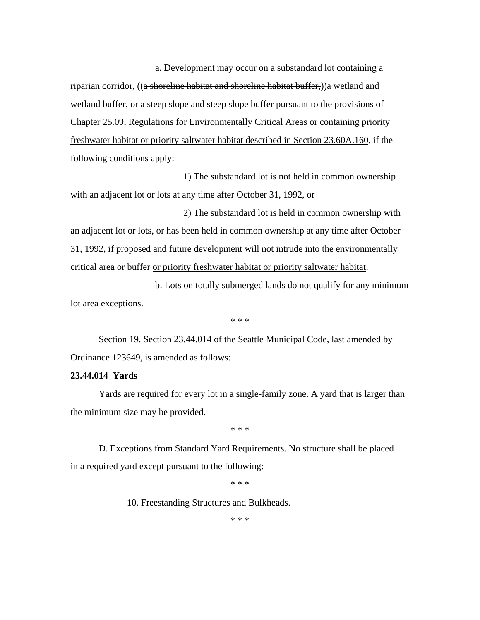a. Development may occur on a substandard lot containing a riparian corridor, ((a shoreline habitat and shoreline habitat buffer,))a wetland and wetland buffer, or a steep slope and steep slope buffer pursuant to the provisions of Chapter 25.09, Regulations for Environmentally Critical Areas or containing priority freshwater habitat or priority saltwater habitat described in Section 23.60A.160, if the following conditions apply:

1) The substandard lot is not held in common ownership with an adjacent lot or lots at any time after October 31, 1992, or

2) The substandard lot is held in common ownership with an adjacent lot or lots, or has been held in common ownership at any time after October 31, 1992, if proposed and future development will not intrude into the environmentally critical area or buffer or priority freshwater habitat or priority saltwater habitat.

b. Lots on totally submerged lands do not qualify for any minimum lot area exceptions.

\* \* \*

Section 19. Section 23.44.014 of the Seattle Municipal Code, last amended by Ordinance 123649, is amended as follows:

# **23.44.014 Yards**

Yards are required for every lot in a single-family zone. A yard that is larger than the minimum size may be provided.

\* \* \*

D. Exceptions from Standard Yard Requirements. No structure shall be placed in a required yard except pursuant to the following:

\* \* \*

10. Freestanding Structures and Bulkheads.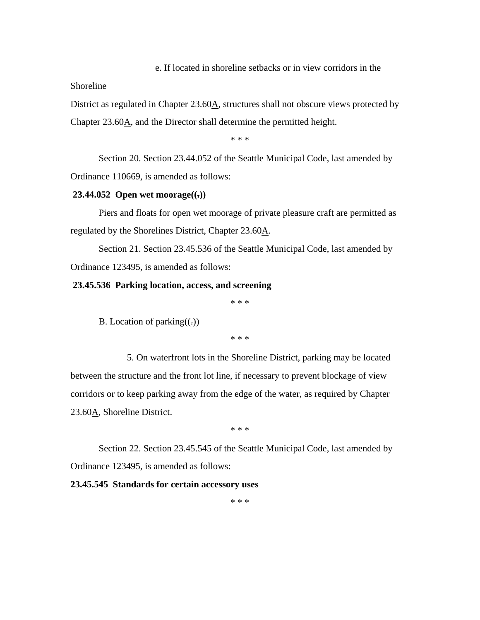#### e. If located in shoreline setbacks or in view corridors in the

## Shoreline

District as regulated in Chapter 23.60A, structures shall not obscure views protected by Chapter 23.60A, and the Director shall determine the permitted height.

\* \* \*

Section 20. Section 23.44.052 of the Seattle Municipal Code, last amended by Ordinance 110669, is amended as follows:

## **23.44.052 Open wet moorage((.))**

Piers and floats for open wet moorage of private pleasure craft are permitted as regulated by the Shorelines District, Chapter 23.60A.

Section 21. Section 23.45.536 of the Seattle Municipal Code, last amended by Ordinance 123495, is amended as follows:

## **23.45.536 Parking location, access, and screening**

\* \* \*

B. Location of parking $((.)$ 

\* \* \*

5. On waterfront lots in the Shoreline District, parking may be located between the structure and the front lot line, if necessary to prevent blockage of view corridors or to keep parking away from the edge of the water, as required by Chapter 23.60A, Shoreline District.

\* \* \*

Section 22. Section 23.45.545 of the Seattle Municipal Code, last amended by Ordinance 123495, is amended as follows:

## **23.45.545 Standards for certain accessory uses**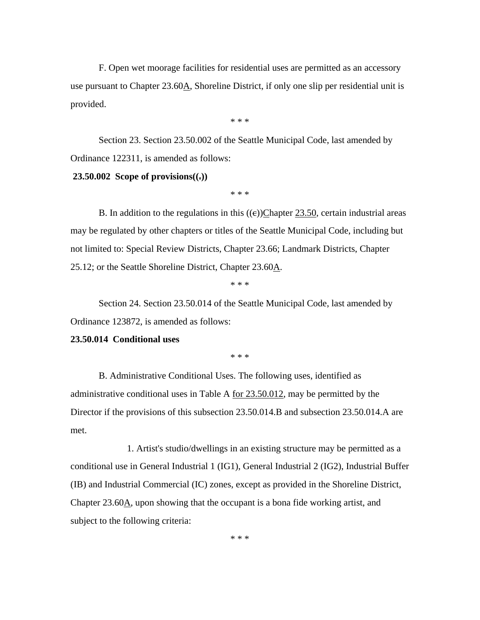F. Open wet moorage facilities for residential uses are permitted as an accessory use pursuant to Chapter  $23.60\text{\AA}$ , Shoreline District, if only one slip per residential unit is provided.

\* \* \*

Section 23. Section 23.50.002 of the Seattle Municipal Code, last amended by Ordinance 122311, is amended as follows:

#### **23.50.002** Scope of provisions $((.)$

\* \* \*

B. In addition to the regulations in this  $((e))$ Chapter 23.50, certain industrial areas may be regulated by other chapters or titles of the Seattle Municipal Code, including but not limited to: Special Review Districts, Chapter 23.66; Landmark Districts, Chapter 25.12; or the Seattle Shoreline District, Chapter 23.60A.

\* \* \*

Section 24. Section 23.50.014 of the Seattle Municipal Code, last amended by Ordinance 123872, is amended as follows:

## **23.50.014 Conditional uses**

\* \* \*

B. Administrative Conditional Uses. The following uses, identified as administrative conditional uses in Table A for 23.50.012, may be permitted by the Director if the provisions of this subsection 23.50.014.B and subsection 23.50.014.A are met.

1. Artist's studio/dwellings in an existing structure may be permitted as a conditional use in General Industrial 1 (IG1), General Industrial 2 (IG2), Industrial Buffer (IB) and Industrial Commercial (IC) zones, except as provided in the Shoreline District, Chapter 23.60A, upon showing that the occupant is a bona fide working artist, and subject to the following criteria: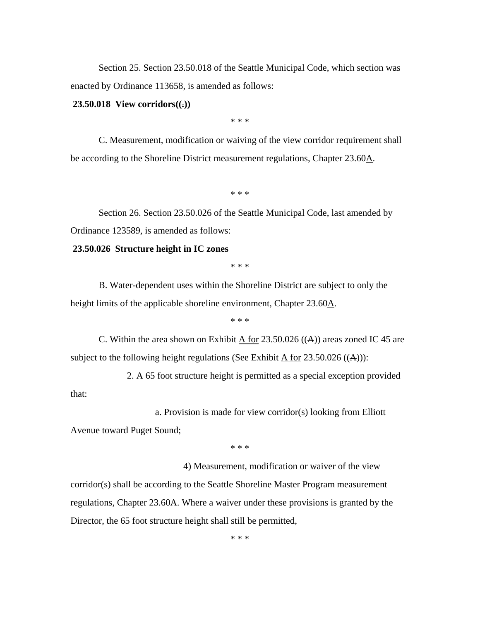Section 25. Section 23.50.018 of the Seattle Municipal Code, which section was enacted by Ordinance 113658, is amended as follows:

#### **23.50.018 View corridors((.))**

\* \* \*

C. Measurement, modification or waiving of the view corridor requirement shall be according to the Shoreline District measurement regulations, Chapter 23.60A.

\* \* \*

Section 26. Section 23.50.026 of the Seattle Municipal Code, last amended by Ordinance 123589, is amended as follows:

#### **23.50.026 Structure height in IC zones**

\* \* \*

B. Water-dependent uses within the Shoreline District are subject to only the height limits of the applicable shoreline environment, Chapter 23.60A.

\* \* \*

C. Within the area shown on Exhibit  $\overline{A}$  for 23.50.026 ((A)) areas zoned IC 45 are subject to the following height regulations (See Exhibit A for  $23.50.026$  ((A))):

2. A 65 foot structure height is permitted as a special exception provided

a. Provision is made for view corridor(s) looking from Elliott

Avenue toward Puget Sound;

that:

\* \* \*

4) Measurement, modification or waiver of the view corridor(s) shall be according to the Seattle Shoreline Master Program measurement regulations, Chapter 23.60A. Where a waiver under these provisions is granted by the Director, the 65 foot structure height shall still be permitted,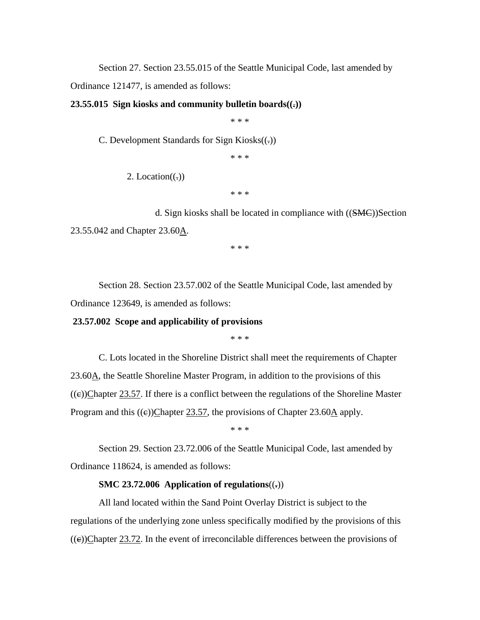Section 27. Section 23.55.015 of the Seattle Municipal Code, last amended by

Ordinance 121477, is amended as follows:

### **23.55.015 Sign kiosks and community bulletin boards((.))**

\* \* \*

C. Development Standards for Sign Kiosks((.))

\* \* \*

2. Location $((.)$ 

\* \* \*

d. Sign kiosks shall be located in compliance with ((SMC))Section 23.55.042 and Chapter 23.60A.

\* \* \*

Section 28. Section 23.57.002 of the Seattle Municipal Code, last amended by Ordinance 123649, is amended as follows:

#### **23.57.002 Scope and applicability of provisions**

\* \* \*

C. Lots located in the Shoreline District shall meet the requirements of Chapter 23.60A, the Seattle Shoreline Master Program, in addition to the provisions of this  $((e))$ Chapter 23.57. If there is a conflict between the regulations of the Shoreline Master Program and this  $((e))$ Chapter 23.57, the provisions of Chapter 23.60A apply.

\* \* \*

Section 29. Section 23.72.006 of the Seattle Municipal Code, last amended by Ordinance 118624, is amended as follows:

## **SMC 23.72.006 Application of regulations**((**.**))

All land located within the Sand Point Overlay District is subject to the regulations of the underlying zone unless specifically modified by the provisions of this  $((e))$ Chapter 23.72. In the event of irreconcilable differences between the provisions of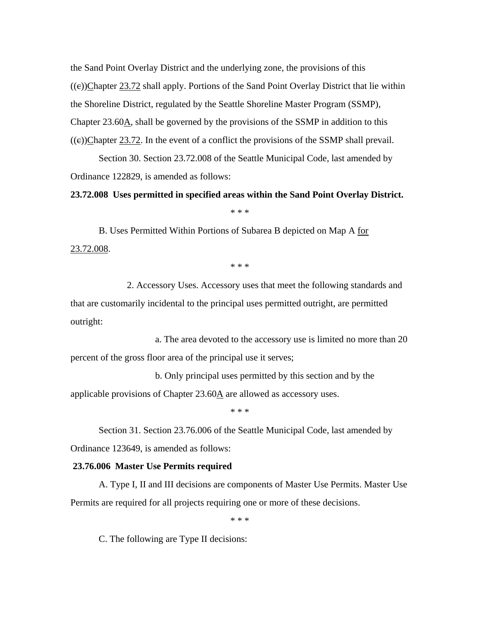the Sand Point Overlay District and the underlying zone, the provisions of this  $((e))$ Chapter 23.72 shall apply. Portions of the Sand Point Overlay District that lie within the Shoreline District, regulated by the Seattle Shoreline Master Program (SSMP), Chapter 23.60A, shall be governed by the provisions of the SSMP in addition to this  $((e))$ Chapter 23.72. In the event of a conflict the provisions of the SSMP shall prevail.

Section 30. Section 23.72.008 of the Seattle Municipal Code, last amended by Ordinance 122829, is amended as follows:

## **23.72.008 Uses permitted in specified areas within the Sand Point Overlay District.**

\* \* \*

B. Uses Permitted Within Portions of Subarea B depicted on Map A for 23.72.008.

\* \* \*

2. Accessory Uses. Accessory uses that meet the following standards and that are customarily incidental to the principal uses permitted outright, are permitted outright:

a. The area devoted to the accessory use is limited no more than 20 percent of the gross floor area of the principal use it serves;

b. Only principal uses permitted by this section and by the applicable provisions of Chapter 23.60A are allowed as accessory uses.

\* \* \*

Section 31. Section 23.76.006 of the Seattle Municipal Code, last amended by Ordinance 123649, is amended as follows:

## **23.76.006 Master Use Permits required**

A. Type I, II and III decisions are components of Master Use Permits. Master Use Permits are required for all projects requiring one or more of these decisions.

\* \* \*

C. The following are Type II decisions: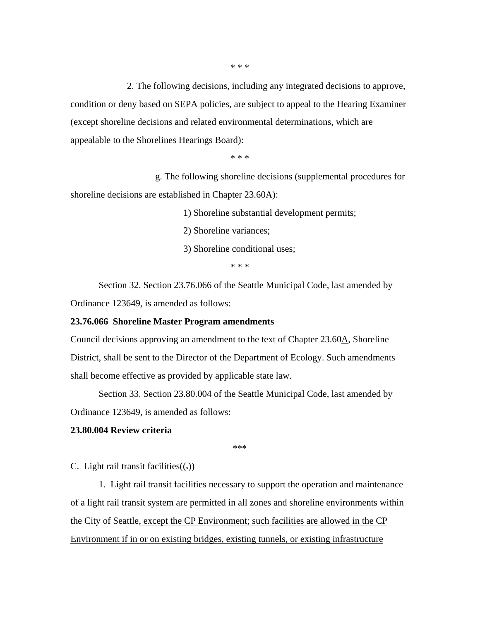2. The following decisions, including any integrated decisions to approve, condition or deny based on SEPA policies, are subject to appeal to the Hearing Examiner (except shoreline decisions and related environmental determinations, which are appealable to the Shorelines Hearings Board):

\* \* \*

g. The following shoreline decisions (supplemental procedures for shoreline decisions are established in Chapter 23.60A):

1) Shoreline substantial development permits;

2) Shoreline variances;

3) Shoreline conditional uses;

\* \* \*

Section 32. Section 23.76.066 of the Seattle Municipal Code, last amended by Ordinance 123649, is amended as follows:

#### **23.76.066 Shoreline Master Program amendments**

Council decisions approving an amendment to the text of Chapter 23.60A, Shoreline District, shall be sent to the Director of the Department of Ecology. Such amendments shall become effective as provided by applicable state law.

Section 33. Section 23.80.004 of the Seattle Municipal Code, last amended by Ordinance 123649, is amended as follows:

## **23.80.004 Review criteria**

\*\*\*

C. Light rail transit facilities $((.)$ 

 1. Light rail transit facilities necessary to support the operation and maintenance of a light rail transit system are permitted in all zones and shoreline environments within the City of Seattle, except the CP Environment; such facilities are allowed in the CP Environment if in or on existing bridges, existing tunnels, or existing infrastructure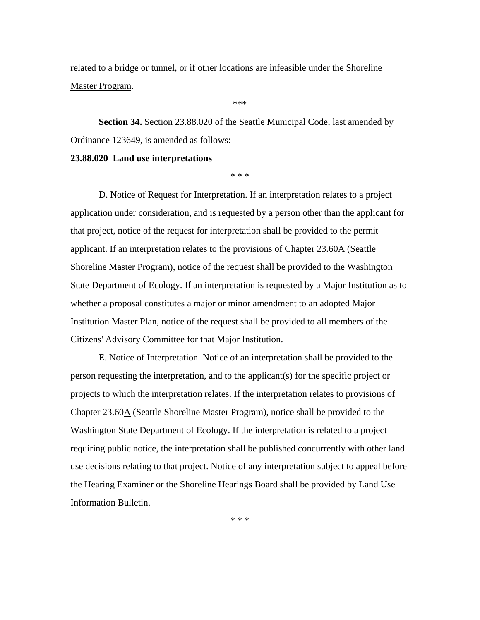related to a bridge or tunnel, or if other locations are infeasible under the Shoreline Master Program.

\*\*\*

**Section 34.** Section 23.88.020 of the Seattle Municipal Code, last amended by Ordinance 123649, is amended as follows:

#### **23.88.020 Land use interpretations**

\* \* \*

D. Notice of Request for Interpretation. If an interpretation relates to a project application under consideration, and is requested by a person other than the applicant for that project, notice of the request for interpretation shall be provided to the permit applicant. If an interpretation relates to the provisions of Chapter 23.60A (Seattle Shoreline Master Program), notice of the request shall be provided to the Washington State Department of Ecology. If an interpretation is requested by a Major Institution as to whether a proposal constitutes a major or minor amendment to an adopted Major Institution Master Plan, notice of the request shall be provided to all members of the Citizens' Advisory Committee for that Major Institution.

E. Notice of Interpretation. Notice of an interpretation shall be provided to the person requesting the interpretation, and to the applicant(s) for the specific project or projects to which the interpretation relates. If the interpretation relates to provisions of Chapter 23.60A (Seattle Shoreline Master Program), notice shall be provided to the Washington State Department of Ecology. If the interpretation is related to a project requiring public notice, the interpretation shall be published concurrently with other land use decisions relating to that project. Notice of any interpretation subject to appeal before the Hearing Examiner or the Shoreline Hearings Board shall be provided by Land Use Information Bulletin.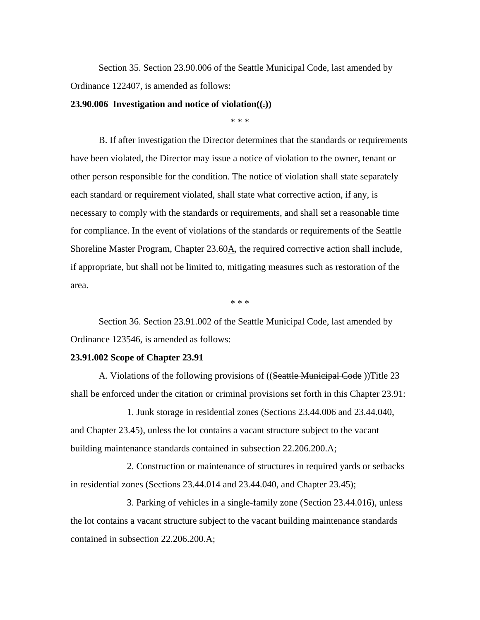Section 35. Section 23.90.006 of the Seattle Municipal Code, last amended by Ordinance 122407, is amended as follows:

#### **23.90.006 Investigation and notice of violation((.))**

\* \* \*

B. If after investigation the Director determines that the standards or requirements have been violated, the Director may issue a notice of violation to the owner, tenant or other person responsible for the condition. The notice of violation shall state separately each standard or requirement violated, shall state what corrective action, if any, is necessary to comply with the standards or requirements, and shall set a reasonable time for compliance. In the event of violations of the standards or requirements of the Seattle Shoreline Master Program, Chapter 23.60A, the required corrective action shall include, if appropriate, but shall not be limited to, mitigating measures such as restoration of the area.

\* \* \*

Section 36. Section 23.91.002 of the Seattle Municipal Code, last amended by Ordinance 123546, is amended as follows:

#### **23.91.002 Scope of Chapter 23.91**

A. Violations of the following provisions of ((Seattle Municipal Code))Title 23 shall be enforced under the citation or criminal provisions set forth in this Chapter 23.91:

1. Junk storage in residential zones (Sections 23.44.006 and 23.44.040, and Chapter 23.45), unless the lot contains a vacant structure subject to the vacant building maintenance standards contained in subsection 22.206.200.A;

2. Construction or maintenance of structures in required yards or setbacks in residential zones (Sections 23.44.014 and 23.44.040, and Chapter 23.45);

3. Parking of vehicles in a single-family zone (Section 23.44.016), unless the lot contains a vacant structure subject to the vacant building maintenance standards contained in subsection 22.206.200.A;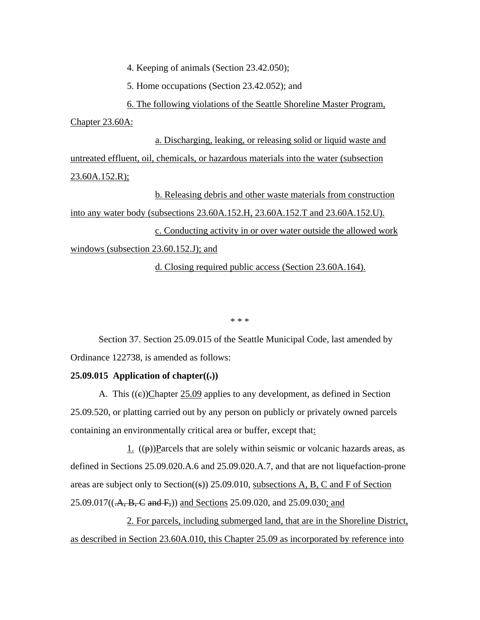4. Keeping of animals (Section 23.42.050);

5. Home occupations (Section 23.42.052); and

6. The following violations of the Seattle Shoreline Master Program,

Chapter 23.60A:

a. Discharging, leaking, or releasing solid or liquid waste and untreated effluent, oil, chemicals, or hazardous materials into the water (subsection  $23.60A.152.R$ );

b. Releasing debris and other waste materials from construction into any water body (subsections 23.60A.152.H, 23.60A.152.T and 23.60A.152.U). c. Conducting activity in or over water outside the allowed work windows (subsection 23.60.152.J); and

d. Closing required public access (Section 23.60A.164).

\* \* \*

Section 37. Section 25.09.015 of the Seattle Municipal Code, last amended by Ordinance 122738, is amended as follows:

## **25.09.015** Application of chapter $((.)$

A. This  $((e))$ Chapter 25.09 applies to any development, as defined in Section 25.09.520, or platting carried out by any person on publicly or privately owned parcels containing an environmentally critical area or buffer, except that:

1.  $((\theta))$ Parcels that are solely within seismic or volcanic hazards areas, as defined in Sections 25.09.020.A.6 and 25.09.020.A.7, and that are not liquefaction-prone areas are subject only to Section( $(\epsilon)$ ) 25.09.010, subsections A, B, C and F of Section  $25.09.017((. A, B, C \text{ and } F))$  and Sections 25.09.020, and 25.09.030; and

2. For parcels, including submerged land, that are in the Shoreline District, as described in Section 23.60A.010, this Chapter 25.09 as incorporated by reference into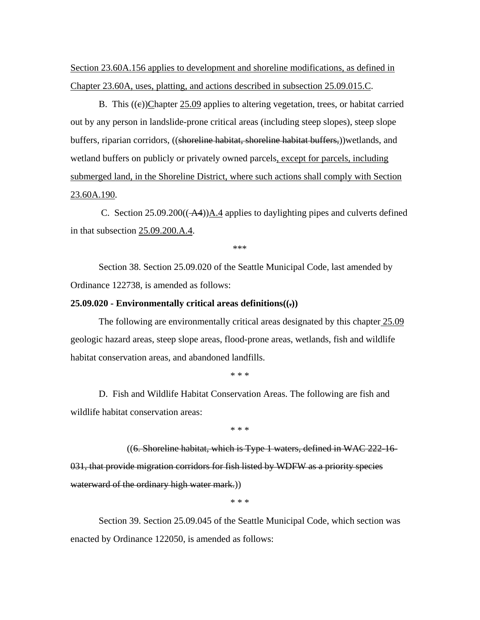Section 23.60A.156 applies to development and shoreline modifications, as defined in Chapter 23.60A, uses, platting, and actions described in subsection 25.09.015.C.

B. This ((e))Chapter 25.09 applies to altering vegetation, trees, or habitat carried out by any person in landslide-prone critical areas (including steep slopes), steep slope buffers, riparian corridors, ((shoreline habitat, shoreline habitat buffers,))wetlands, and wetland buffers on publicly or privately owned parcels, except for parcels, including submerged land, in the Shoreline District, where such actions shall comply with Section 23.60A.190.

C. Section  $25.09.200((-AA))\underline{A.4}$  applies to daylighting pipes and culverts defined in that subsection 25.09.200.A.4.

\*\*\*

Section 38. Section 25.09.020 of the Seattle Municipal Code, last amended by Ordinance 122738, is amended as follows:

### **25.09.020 - Environmentally critical areas definitions((.))**

The following are environmentally critical areas designated by this chapter 25.09 geologic hazard areas, steep slope areas, flood-prone areas, wetlands, fish and wildlife habitat conservation areas, and abandoned landfills.

\* \* \*

D. Fish and Wildlife Habitat Conservation Areas. The following are fish and wildlife habitat conservation areas:

\* \* \*

((6. Shoreline habitat, which is Type 1 waters, defined in WAC 222-16- 031, that provide migration corridors for fish listed by WDFW as a priority species waterward of the ordinary high water mark.))

\* \* \*

Section 39. Section 25.09.045 of the Seattle Municipal Code, which section was enacted by Ordinance 122050, is amended as follows: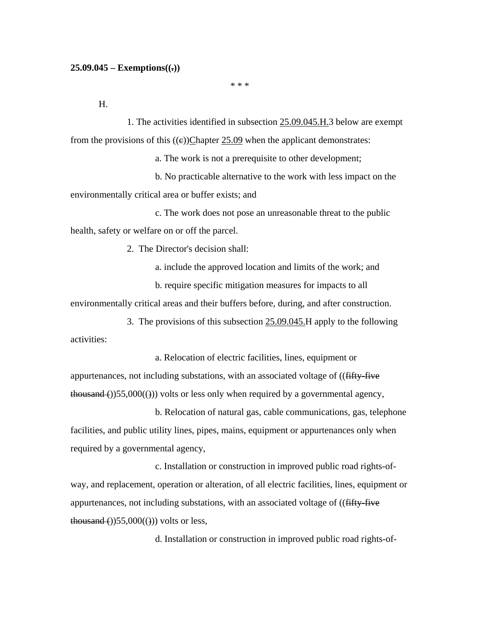#### **25.09.045 – Exemptions((.))**

\* \* \*

H.

1. The activities identified in subsection 25.09.045.H.3 below are exempt from the provisions of this  $((e))$ Chapter 25.09 when the applicant demonstrates:

a. The work is not a prerequisite to other development;

b. No practicable alternative to the work with less impact on the environmentally critical area or buffer exists; and

c. The work does not pose an unreasonable threat to the public health, safety or welfare on or off the parcel.

2. The Director's decision shall:

a. include the approved location and limits of the work; and

b. require specific mitigation measures for impacts to all

environmentally critical areas and their buffers before, during, and after construction.

3. The provisions of this subsection 25.09.045.H apply to the following activities:

a. Relocation of electric facilities, lines, equipment or appurtenances, not including substations, with an associated voltage of ((fifty-five  $t$ housand ())55,000(())) volts or less only when required by a governmental agency,

b. Relocation of natural gas, cable communications, gas, telephone facilities, and public utility lines, pipes, mains, equipment or appurtenances only when required by a governmental agency,

c. Installation or construction in improved public road rights-ofway, and replacement, operation or alteration, of all electric facilities, lines, equipment or appurtenances, not including substations, with an associated voltage of ((fifty-five thousand  $($ ))55,000 $(()$ )) volts or less,

d. Installation or construction in improved public road rights-of-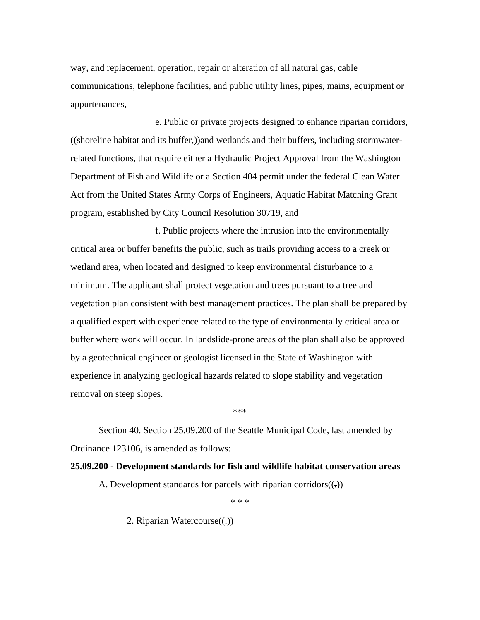way, and replacement, operation, repair or alteration of all natural gas, cable communications, telephone facilities, and public utility lines, pipes, mains, equipment or appurtenances,

e. Public or private projects designed to enhance riparian corridors, ((shoreline habitat and its buffer,))and wetlands and their buffers, including stormwaterrelated functions, that require either a Hydraulic Project Approval from the Washington Department of Fish and Wildlife or a Section 404 permit under the federal Clean Water Act from the United States Army Corps of Engineers, Aquatic Habitat Matching Grant program, established by City Council Resolution 30719, and

f. Public projects where the intrusion into the environmentally critical area or buffer benefits the public, such as trails providing access to a creek or wetland area, when located and designed to keep environmental disturbance to a minimum. The applicant shall protect vegetation and trees pursuant to a tree and vegetation plan consistent with best management practices. The plan shall be prepared by a qualified expert with experience related to the type of environmentally critical area or buffer where work will occur. In landslide-prone areas of the plan shall also be approved by a geotechnical engineer or geologist licensed in the State of Washington with experience in analyzing geological hazards related to slope stability and vegetation removal on steep slopes.

\*\*\*

Section 40. Section 25.09.200 of the Seattle Municipal Code, last amended by Ordinance 123106, is amended as follows:

#### **25.09.200 - Development standards for fish and wildlife habitat conservation areas**

A. Development standards for parcels with riparian corridors $((.)$ 

\* \* \*

2. Riparian Watercourse $((.)$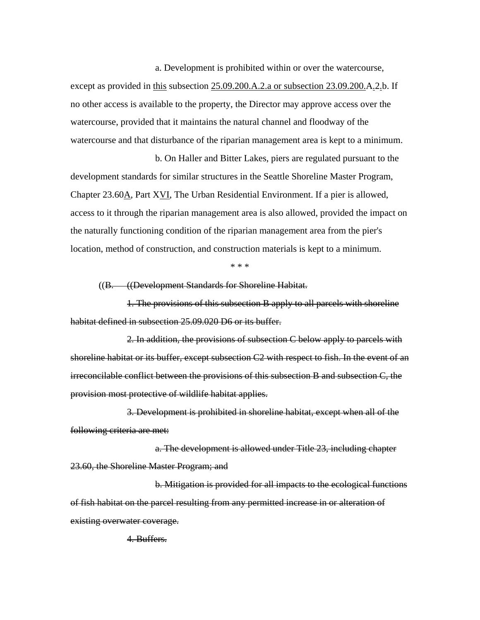a. Development is prohibited within or over the watercourse, except as provided in this subsection 25.09.200.A.2.a or subsection 23.09.200.A.2.b. If no other access is available to the property, the Director may approve access over the watercourse, provided that it maintains the natural channel and floodway of the watercourse and that disturbance of the riparian management area is kept to a minimum.

b. On Haller and Bitter Lakes, piers are regulated pursuant to the development standards for similar structures in the Seattle Shoreline Master Program, Chapter 23.60A, Part XVI, The Urban Residential Environment. If a pier is allowed, access to it through the riparian management area is also allowed, provided the impact on the naturally functioning condition of the riparian management area from the pier's location, method of construction, and construction materials is kept to a minimum.

\* \* \*

((B. ((Development Standards for Shoreline Habitat.

1. The provisions of this subsection B apply to all parcels with shoreline habitat defined in subsection 25.09.020 D6 or its buffer.

2. In addition, the provisions of subsection C below apply to parcels with shoreline habitat or its buffer, except subsection C2 with respect to fish. In the event of an irreconcilable conflict between the provisions of this subsection B and subsection C, the provision most protective of wildlife habitat applies.

3. Development is prohibited in shoreline habitat, except when all of the following criteria are met:

a. The development is allowed under Title 23, including chapter 23.60, the Shoreline Master Program; and

b. Mitigation is provided for all impacts to the ecological functions of fish habitat on the parcel resulting from any permitted increase in or alteration of existing overwater coverage.

4. Buffers.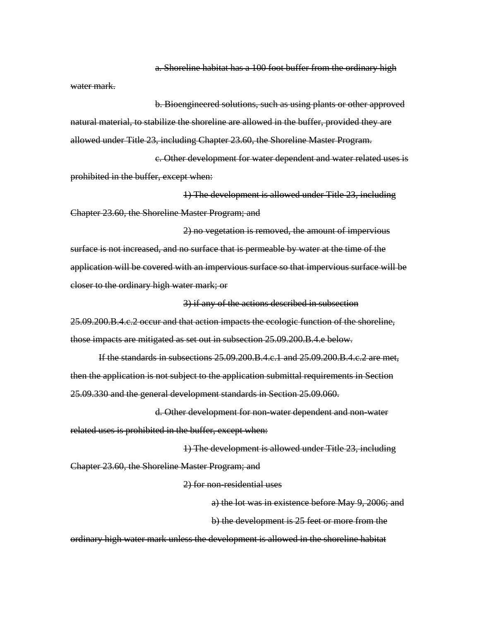a. Shoreline habitat has a 100 foot buffer from the ordinary high

water mark.

b. Bioengineered solutions, such as using plants or other approved natural material, to stabilize the shoreline are allowed in the buffer, provided they are allowed under Title 23, including Chapter 23.60, the Shoreline Master Program.

c. Other development for water dependent and water related uses is prohibited in the buffer, except when:

1) The development is allowed under Title 23, including Chapter 23.60, the Shoreline Master Program; and

2) no vegetation is removed, the amount of impervious surface is not increased, and no surface that is permeable by water at the time of the application will be covered with an impervious surface so that impervious surface will be closer to the ordinary high water mark; or

3) if any of the actions described in subsection

25.09.200.B.4.c.2 occur and that action impacts the ecologic function of the shoreline, those impacts are mitigated as set out in subsection 25.09.200.B.4.e below.

If the standards in subsections 25.09.200.B.4.c.1 and 25.09.200.B.4.c.2 are met, then the application is not subject to the application submittal requirements in Section 25.09.330 and the general development standards in Section 25.09.060.

d. Other development for non-water dependent and non-water related uses is prohibited in the buffer, except when:

1) The development is allowed under Title 23, including Chapter 23.60, the Shoreline Master Program; and

2) for non-residential uses

a) the lot was in existence before May 9, 2006; and b) the development is 25 feet or more from the

ordinary high water mark unless the development is allowed in the shoreline habitat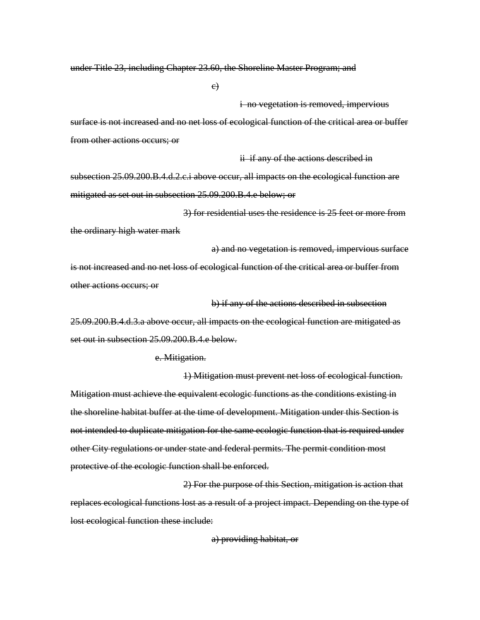under Title 23, including Chapter 23.60, the Shoreline Master Program; and

c)

#### i no vegetation is removed, impervious

surface is not increased and no net loss of ecological function of the critical area or buffer from other actions occurs; or

ii if any of the actions described in

b) if any of the actions described in subsection

subsection 25.09.200.B.4.d.2.c.i above occur, all impacts on the ecological function are mitigated as set out in subsection 25.09.200.B.4.e below; or

3) for residential uses the residence is 25 feet or more from the ordinary high water mark

a) and no vegetation is removed, impervious surface is not increased and no net loss of ecological function of the critical area or buffer from other actions occurs; or

25.09.200.B.4.d.3.a above occur, all impacts on the ecological function are mitigated as set out in subsection 25.09.200.B.4.e below.

e. Mitigation.

1) Mitigation must prevent net loss of ecological function. Mitigation must achieve the equivalent ecologic functions as the conditions existing in the shoreline habitat buffer at the time of development. Mitigation under this Section is not intended to duplicate mitigation for the same ecologic function that is required under other City regulations or under state and federal permits. The permit condition most protective of the ecologic function shall be enforced.

2) For the purpose of this Section, mitigation is action that replaces ecological functions lost as a result of a project impact. Depending on the type of lost ecological function these include:

a) providing habitat, or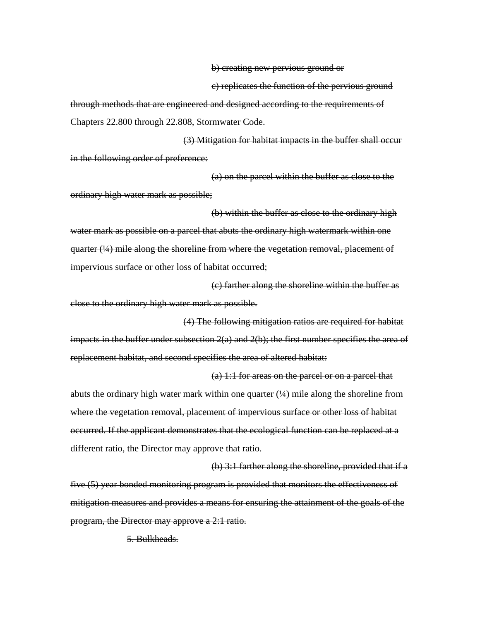b) creating new pervious ground or

c) replicates the function of the pervious ground

(a) 1:1 for areas on the parcel or on a parcel that

through methods that are engineered and designed according to the requirements of Chapters 22.800 through 22.808, Stormwater Code.

(3) Mitigation for habitat impacts in the buffer shall occur in the following order of preference:

(a) on the parcel within the buffer as close to the ordinary high water mark as possible;

(b) within the buffer as close to the ordinary high water mark as possible on a parcel that abuts the ordinary high watermark within one quarter (¼) mile along the shoreline from where the vegetation removal, placement of impervious surface or other loss of habitat occurred;

(c) farther along the shoreline within the buffer as close to the ordinary high water mark as possible.

(4) The following mitigation ratios are required for habitat impacts in the buffer under subsection  $2(a)$  and  $2(b)$ ; the first number specifies the area of replacement habitat, and second specifies the area of altered habitat:

abuts the ordinary high water mark within one quarter  $(½)$  mile along the shoreline from where the vegetation removal, placement of impervious surface or other loss of habitat occurred. If the applicant demonstrates that the ecological function can be replaced at a different ratio, the Director may approve that ratio.

(b) 3:1 farther along the shoreline, provided that if a five (5) year bonded monitoring program is provided that monitors the effectiveness of mitigation measures and provides a means for ensuring the attainment of the goals of the program, the Director may approve a 2:1 ratio.

5. Bulkheads.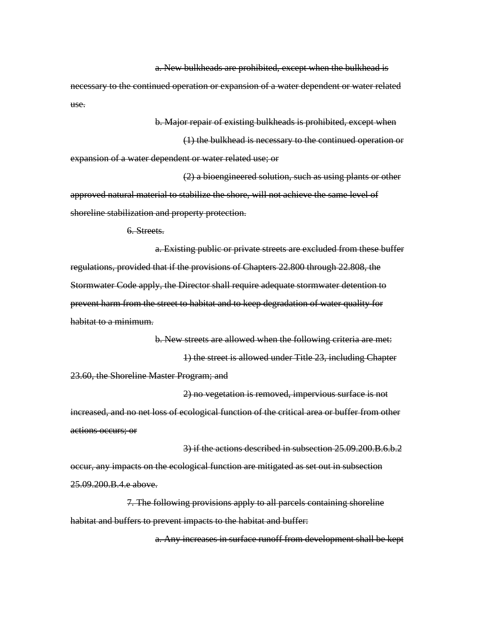a. New bulkheads are prohibited, except when the bulkhead is

necessary to the continued operation or expansion of a water dependent or water related use.

b. Major repair of existing bulkheads is prohibited, except when

(1) the bulkhead is necessary to the continued operation or expansion of a water dependent or water related use; or

(2) a bioengineered solution, such as using plants or other approved natural material to stabilize the shore, will not achieve the same level of shoreline stabilization and property protection.

6. Streets.

a. Existing public or private streets are excluded from these buffer regulations, provided that if the provisions of Chapters 22.800 through 22.808, the Stormwater Code apply, the Director shall require adequate stormwater detention to prevent harm from the street to habitat and to keep degradation of water quality for habitat to a minimum.

b. New streets are allowed when the following criteria are met: 1) the street is allowed under Title 23, including Chapter 23.60, the Shoreline Master Program; and

2) no vegetation is removed, impervious surface is not increased, and no net loss of ecological function of the critical area or buffer from other actions occurs; or

3) if the actions described in subsection 25.09.200.B.6.b.2 occur, any impacts on the ecological function are mitigated as set out in subsection 25.09.200.B.4.e above.

7. The following provisions apply to all parcels containing shoreline habitat and buffers to prevent impacts to the habitat and buffer:

a. Any increases in surface runoff from development shall be kept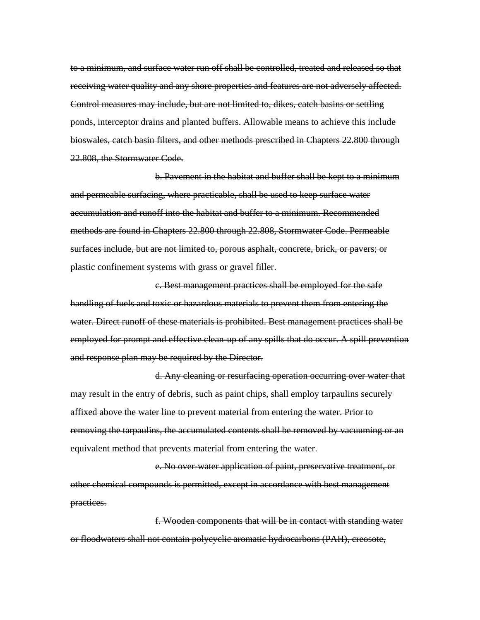to a minimum, and surface water run off shall be controlled, treated and released so that receiving water quality and any shore properties and features are not adversely affected. Control measures may include, but are not limited to, dikes, catch basins or settling ponds, interceptor drains and planted buffers. Allowable means to achieve this include bioswales, catch basin filters, and other methods prescribed in Chapters 22.800 through 22.808, the Stormwater Code.

b. Pavement in the habitat and buffer shall be kept to a minimum and permeable surfacing, where practicable, shall be used to keep surface water accumulation and runoff into the habitat and buffer to a minimum. Recommended methods are found in Chapters 22.800 through 22.808, Stormwater Code. Permeable surfaces include, but are not limited to, porous asphalt, concrete, brick, or pavers; or plastic confinement systems with grass or gravel filler.

c. Best management practices shall be employed for the safe handling of fuels and toxic or hazardous materials to prevent them from entering the water. Direct runoff of these materials is prohibited. Best management practices shall be employed for prompt and effective clean-up of any spills that do occur. A spill prevention and response plan may be required by the Director.

d. Any cleaning or resurfacing operation occurring over water that may result in the entry of debris, such as paint chips, shall employ tarpaulins securely affixed above the water line to prevent material from entering the water. Prior to removing the tarpaulins, the accumulated contents shall be removed by vacuuming or an equivalent method that prevents material from entering the water.

e. No over-water application of paint, preservative treatment, or other chemical compounds is permitted, except in accordance with best management practices.

f. Wooden components that will be in contact with standing water or floodwaters shall not contain polycyclic aromatic hydrocarbons (PAH), creosote,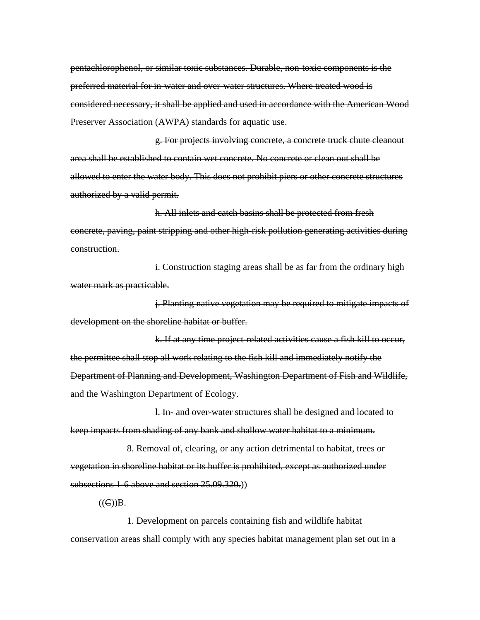pentachlorophenol, or similar toxic substances. Durable, non-toxic components is the preferred material for in-water and over-water structures. Where treated wood is considered necessary, it shall be applied and used in accordance with the American Wood Preserver Association (AWPA) standards for aquatic use.

g. For projects involving concrete, a concrete truck chute cleanout area shall be established to contain wet concrete. No concrete or clean out shall be allowed to enter the water body. This does not prohibit piers or other concrete structures authorized by a valid permit.

h. All inlets and catch basins shall be protected from fresh concrete, paving, paint stripping and other high-risk pollution generating activities during construction.

i. Construction staging areas shall be as far from the ordinary high water mark as practicable.

j. Planting native vegetation may be required to mitigate impacts of development on the shoreline habitat or buffer.

k. If at any time project-related activities cause a fish kill to occur, the permittee shall stop all work relating to the fish kill and immediately notify the Department of Planning and Development, Washington Department of Fish and Wildlife, and the Washington Department of Ecology.

l. In- and over-water structures shall be designed and located to keep impacts from shading of any bank and shallow water habitat to a minimum.

8. Removal of, clearing, or any action detrimental to habitat, trees or vegetation in shoreline habitat or its buffer is prohibited, except as authorized under subsections 1-6 above and section 25.09.320.)

 $((\infty)B)$ .

1. Development on parcels containing fish and wildlife habitat conservation areas shall comply with any species habitat management plan set out in a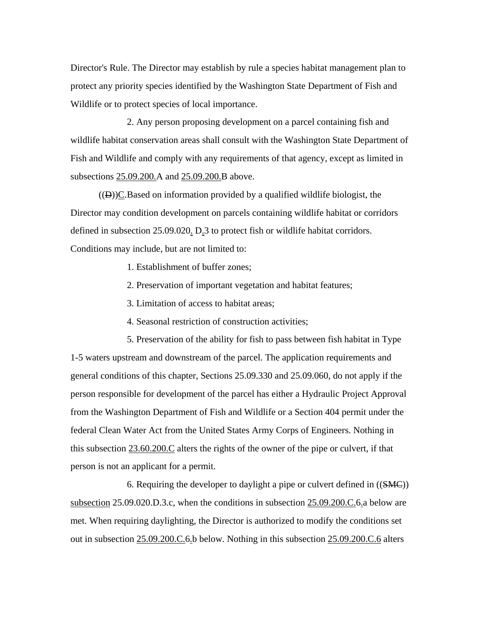Director's Rule. The Director may establish by rule a species habitat management plan to protect any priority species identified by the Washington State Department of Fish and Wildlife or to protect species of local importance.

2. Any person proposing development on a parcel containing fish and wildlife habitat conservation areas shall consult with the Washington State Department of Fish and Wildlife and comply with any requirements of that agency, except as limited in subsections 25.09.200.A and 25.09.200.B above.

 $((D))C$ . Based on information provided by a qualified wildlife biologist, the Director may condition development on parcels containing wildlife habitat or corridors defined in subsection 25.09.020. D.3 to protect fish or wildlife habitat corridors. Conditions may include, but are not limited to:

- 1. Establishment of buffer zones;
- 2. Preservation of important vegetation and habitat features;
- 3. Limitation of access to habitat areas;
- 4. Seasonal restriction of construction activities;

5. Preservation of the ability for fish to pass between fish habitat in Type 1-5 waters upstream and downstream of the parcel. The application requirements and general conditions of this chapter, Sections 25.09.330 and 25.09.060, do not apply if the person responsible for development of the parcel has either a Hydraulic Project Approval from the Washington Department of Fish and Wildlife or a Section 404 permit under the federal Clean Water Act from the United States Army Corps of Engineers. Nothing in this subsection 23.60.200.C alters the rights of the owner of the pipe or culvert, if that person is not an applicant for a permit.

6. Requiring the developer to daylight a pipe or culvert defined in ((SMC)) subsection 25.09.020.D.3.c, when the conditions in subsection 25.09.200.C.6.a below are met. When requiring daylighting, the Director is authorized to modify the conditions set out in subsection 25.09.200.C.6.b below. Nothing in this subsection 25.09.200.C.6 alters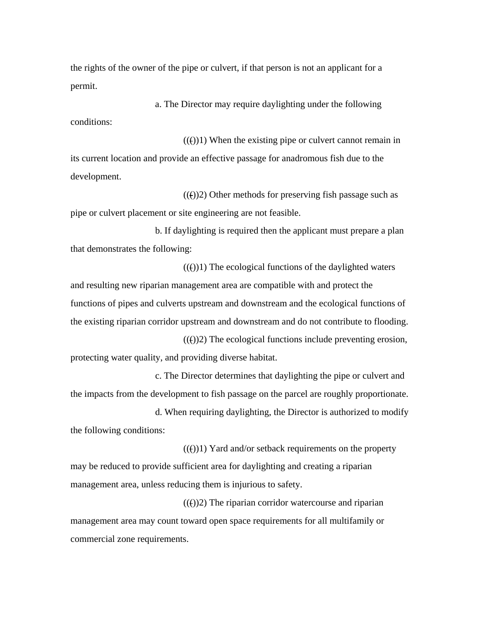the rights of the owner of the pipe or culvert, if that person is not an applicant for a permit.

a. The Director may require daylighting under the following conditions:

 $((())$ 1) When the existing pipe or culvert cannot remain in its current location and provide an effective passage for anadromous fish due to the development.

 $(())$ 2) Other methods for preserving fish passage such as pipe or culvert placement or site engineering are not feasible.

b. If daylighting is required then the applicant must prepare a plan that demonstrates the following:

 $((f))1$ ) The ecological functions of the daylighted waters and resulting new riparian management area are compatible with and protect the functions of pipes and culverts upstream and downstream and the ecological functions of the existing riparian corridor upstream and downstream and do not contribute to flooding.

 $(())$ 2) The ecological functions include preventing erosion, protecting water quality, and providing diverse habitat.

c. The Director determines that daylighting the pipe or culvert and the impacts from the development to fish passage on the parcel are roughly proportionate.

d. When requiring daylighting, the Director is authorized to modify the following conditions:

 $((f))1$ ) Yard and/or setback requirements on the property may be reduced to provide sufficient area for daylighting and creating a riparian management area, unless reducing them is injurious to safety.

 $((f))2$ ) The riparian corridor watercourse and riparian management area may count toward open space requirements for all multifamily or commercial zone requirements.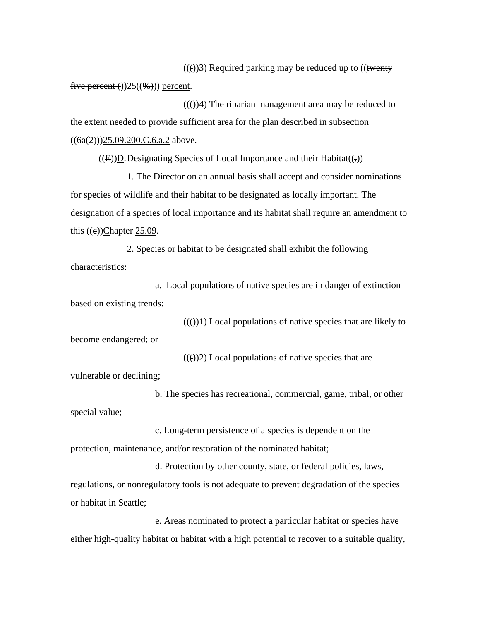$((f))$ 3) Required parking may be reduced up to  $((\text{twenty})$ five percent  $\Theta(25(\frac{1}{2}))$  percent.

 $((f))$ 4) The riparian management area may be reduced to the extent needed to provide sufficient area for the plan described in subsection  $((6a(2))$ )25.09.200.C.6.a.2 above.

 $((E))D$ . Designating Species of Local Importance and their Habitat $((.)$ 

1. The Director on an annual basis shall accept and consider nominations for species of wildlife and their habitat to be designated as locally important. The designation of a species of local importance and its habitat shall require an amendment to this  $((e))$ Chapter 25.09.

2. Species or habitat to be designated shall exhibit the following characteristics:

a. Local populations of native species are in danger of extinction based on existing trends:

 $(())$ 1) Local populations of native species that are likely to become endangered; or

 $((f))2$ ) Local populations of native species that are vulnerable or declining;

b. The species has recreational, commercial, game, tribal, or other special value;

c. Long-term persistence of a species is dependent on the protection, maintenance, and/or restoration of the nominated habitat;

d. Protection by other county, state, or federal policies, laws, regulations, or nonregulatory tools is not adequate to prevent degradation of the species or habitat in Seattle;

e. Areas nominated to protect a particular habitat or species have either high-quality habitat or habitat with a high potential to recover to a suitable quality,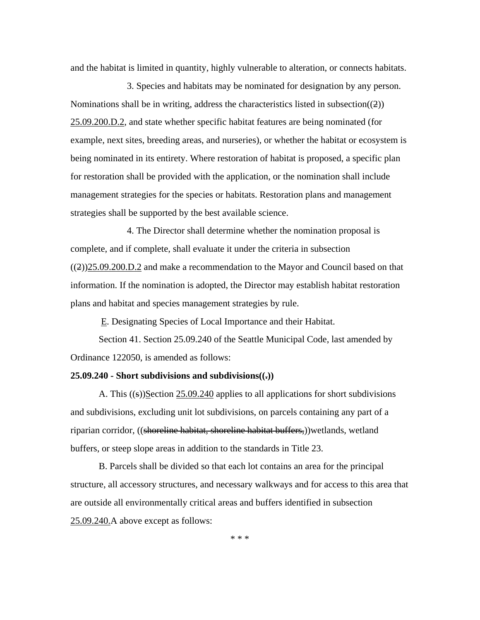and the habitat is limited in quantity, highly vulnerable to alteration, or connects habitats.

3. Species and habitats may be nominated for designation by any person. Nominations shall be in writing, address the characteristics listed in subsection $((2))$ 25.09.200.D.2, and state whether specific habitat features are being nominated (for example, next sites, breeding areas, and nurseries), or whether the habitat or ecosystem is being nominated in its entirety. Where restoration of habitat is proposed, a specific plan for restoration shall be provided with the application, or the nomination shall include management strategies for the species or habitats. Restoration plans and management strategies shall be supported by the best available science.

4. The Director shall determine whether the nomination proposal is complete, and if complete, shall evaluate it under the criteria in subsection ((2))25.09.200.D.2 and make a recommendation to the Mayor and Council based on that information. If the nomination is adopted, the Director may establish habitat restoration plans and habitat and species management strategies by rule.

E. Designating Species of Local Importance and their Habitat.

 Section 41. Section 25.09.240 of the Seattle Municipal Code, last amended by Ordinance 122050, is amended as follows:

#### **25.09.240 - Short subdivisions and subdivisions((.))**

A. This  $((\epsilon))$ Section 25.09.240 applies to all applications for short subdivisions and subdivisions, excluding unit lot subdivisions, on parcels containing any part of a riparian corridor, ((shoreline habitat, shoreline habitat buffers,))wetlands, wetland buffers, or steep slope areas in addition to the standards in Title 23.

B. Parcels shall be divided so that each lot contains an area for the principal structure, all accessory structures, and necessary walkways and for access to this area that are outside all environmentally critical areas and buffers identified in subsection 25.09.240.A above except as follows: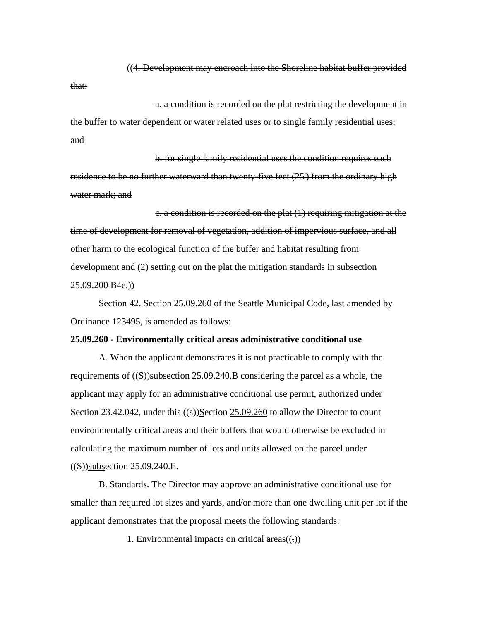((4. Development may encroach into the Shoreline habitat buffer provided that:

a. a condition is recorded on the plat restricting the development in the buffer to water dependent or water related uses or to single family residential uses; and

b. for single family residential uses the condition requires each residence to be no further waterward than twenty-five feet (25') from the ordinary high water mark; and

c. a condition is recorded on the plat (1) requiring mitigation at the time of development for removal of vegetation, addition of impervious surface, and all other harm to the ecological function of the buffer and habitat resulting from development and (2) setting out on the plat the mitigation standards in subsection  $25.09.200 B4e.$ )

 Section 42. Section 25.09.260 of the Seattle Municipal Code, last amended by Ordinance 123495, is amended as follows:

# **25.09.260 - Environmentally critical areas administrative conditional use**

A. When the applicant demonstrates it is not practicable to comply with the requirements of  $((S))$ subsection 25.09.240.B considering the parcel as a whole, the applicant may apply for an administrative conditional use permit, authorized under Section 23.42.042, under this  $((s))$ Section 25.09.260 to allow the Director to count environmentally critical areas and their buffers that would otherwise be excluded in calculating the maximum number of lots and units allowed on the parcel under ((S))subsection 25.09.240.E.

B. Standards. The Director may approve an administrative conditional use for smaller than required lot sizes and yards, and/or more than one dwelling unit per lot if the applicant demonstrates that the proposal meets the following standards:

1. Environmental impacts on critical areas $((.)$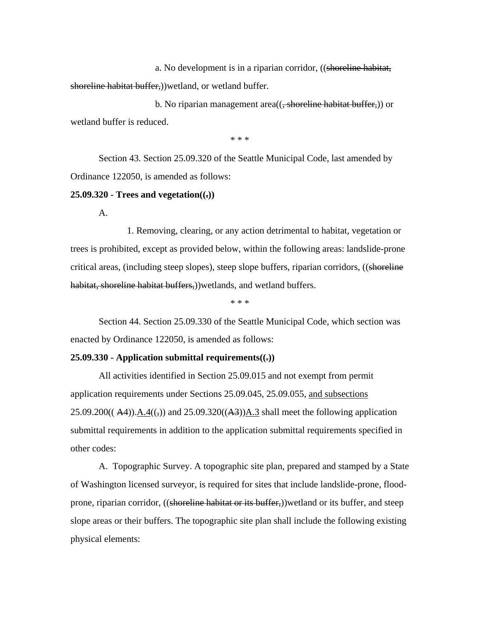a. No development is in a riparian corridor, ((shoreline habitat, shoreline habitat buffer,))wetland, or wetland buffer.

b. No riparian management area((<del>, shoreline habitat buffer,</del>)) or wetland buffer is reduced.

\* \* \*

 Section 43. Section 25.09.320 of the Seattle Municipal Code, last amended by Ordinance 122050, is amended as follows:

## **25.09.320 - Trees and vegetation((.))**

A.

1. Removing, clearing, or any action detrimental to habitat, vegetation or trees is prohibited, except as provided below, within the following areas: landslide-prone critical areas, (including steep slopes), steep slope buffers, riparian corridors, ((shoreline habitat, shoreline habitat buffers,))wetlands, and wetland buffers.

\* \* \*

Section 44. Section 25.09.330 of the Seattle Municipal Code, which section was enacted by Ordinance 122050, is amended as follows:

## **25.09.330 - Application submittal requirements((.))**

All activities identified in Section 25.09.015 and not exempt from permit application requirements under Sections 25.09.045, 25.09.055, and subsections  $25.09.200((A4)).A.4((5))$  and  $25.09.320((A3))A.3$  shall meet the following application submittal requirements in addition to the application submittal requirements specified in other codes:

A. Topographic Survey. A topographic site plan, prepared and stamped by a State of Washington licensed surveyor, is required for sites that include landslide-prone, floodprone, riparian corridor, ((shoreline habitat or its buffer,))wetland or its buffer, and steep slope areas or their buffers. The topographic site plan shall include the following existing physical elements: